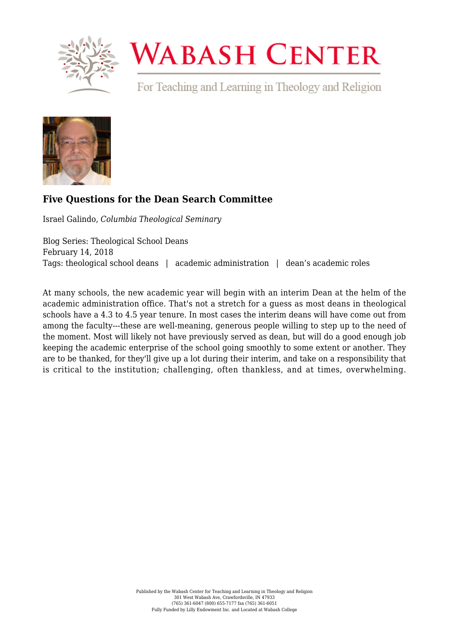

# **WABASH CENTER**

For Teaching and Learning in Theology and Religion



# **[Five Questions for the Dean Search Committee](https://www.wabashcenter.wabash.edu/2018/02/five-questions-dean-search-committee/)**

Israel Galindo, *Columbia Theological Seminary*

Blog Series: Theological School Deans February 14, 2018 Tags: theological school deans | academic administration | dean's academic roles

At many schools, the new academic year will begin with an interim Dean at the helm of the academic administration office. That's not a stretch for a guess as most deans in theological schools have a 4.3 to 4.5 year tenure. In most cases the interim deans will have come out from among the faculty---these are well-meaning, generous people willing to step up to the need of the moment. Most will likely not have previously served as dean, but will do a good enough job keeping the academic enterprise of the school going smoothly to some extent or another. They are to be thanked, for they'll give up a lot during their interim, and take on a responsibility that is critical to the institution; challenging, often thankless, and at times, overwhelming.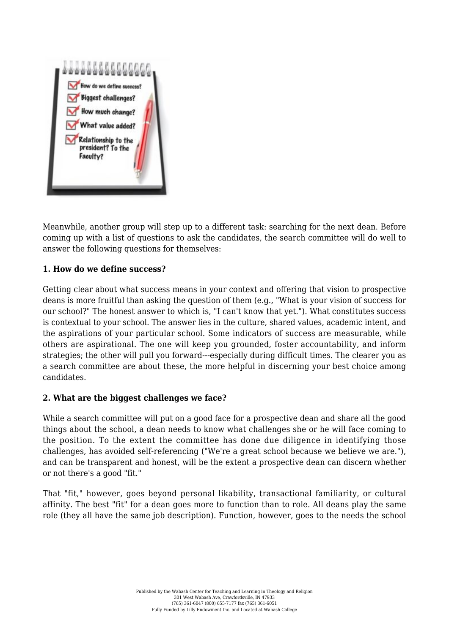

Meanwhile, another group will step up to a different task: searching for the next dean. Before coming up with a list of questions to ask the candidates, the search committee will do well to answer the following questions for themselves:

#### **1. How do we define success?**

Getting clear about what success means in your context and offering that vision to prospective deans is more fruitful than asking the question of them (e.g., "What is your vision of success for our school?" The honest answer to which is, "I can't know that yet."). What constitutes success is contextual to your school. The answer lies in the culture, shared values, academic intent, and the aspirations of your particular school. Some indicators of success are measurable, while others are aspirational. The one will keep you grounded, foster accountability, and inform strategies; the other will pull you forward---especially during difficult times. The clearer you as a search committee are about these, the more helpful in discerning your best choice among candidates.

#### **2. What are the biggest challenges we face?**

While a search committee will put on a good face for a prospective dean and share all the good things about the school, a dean needs to know what challenges she or he will face coming to the position. To the extent the committee has done due diligence in identifying those challenges, has avoided self-referencing ("We're a great school because we believe we are."), and can be transparent and honest, will be the extent a prospective dean can discern whether or not there's a good "fit."

That "fit," however, goes beyond personal likability, transactional familiarity, or cultural affinity. The best "fit" for a dean goes more to function than to role. All deans play the same role (they all have the same job description). Function, however, goes to the needs the school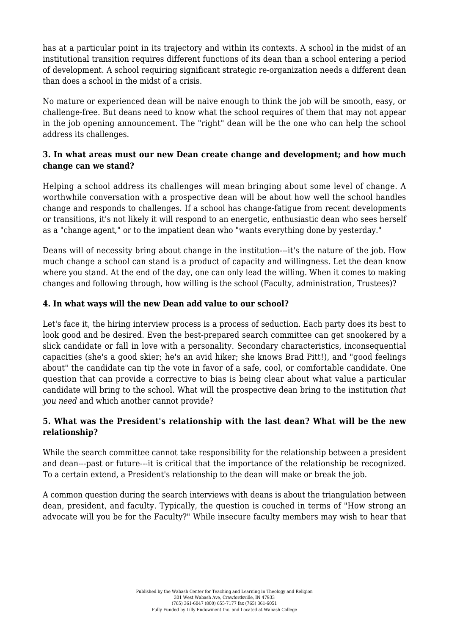has at a particular point in its trajectory and within its contexts. A school in the midst of an institutional transition requires different functions of its dean than a school entering a period of development. A school requiring significant strategic re-organization needs a different dean than does a school in the midst of a crisis.

No mature or experienced dean will be naive enough to think the job will be smooth, easy, or challenge-free. But deans need to know what the school requires of them that may not appear in the job opening announcement. The "right" dean will be the one who can help the school address its challenges.

# **3. In what areas must our new Dean create change and development; and how much change can we stand?**

Helping a school address its challenges will mean bringing about some level of change. A worthwhile conversation with a prospective dean will be about how well the school handles change and responds to challenges. If a school has change-fatigue from recent developments or transitions, it's not likely it will respond to an energetic, enthusiastic dean who sees herself as a "change agent," or to the impatient dean who "wants everything done by yesterday."

Deans will of necessity bring about change in the institution---it's the nature of the job. How much change a school can stand is a product of capacity and willingness. Let the dean know where you stand. At the end of the day, one can only lead the willing. When it comes to making changes and following through, how willing is the school (Faculty, administration, Trustees)?

# **4. In what ways will the new Dean add value to our school?**

Let's face it, the hiring interview process is a process of seduction. Each party does its best to look good and be desired. Even the best-prepared search committee can get snookered by a slick candidate or fall in love with a personality. Secondary characteristics, inconsequential capacities (she's a good skier; he's an avid hiker; she knows Brad Pitt!), and "good feelings about" the candidate can tip the vote in favor of a safe, cool, or comfortable candidate. One question that can provide a corrective to bias is being clear about what value a particular candidate will bring to the school. What will the prospective dean bring to the institution *that you need* and which another cannot provide?

# **5. What was the President's relationship with the last dean? What will be the new relationship?**

While the search committee cannot take responsibility for the relationship between a president and dean---past or future---it is critical that the importance of the relationship be recognized. To a certain extend, a President's relationship to the dean will make or break the job.

A common question during the search interviews with deans is about the triangulation between dean, president, and faculty. Typically, the question is couched in terms of "How strong an advocate will you be for the Faculty?" While insecure faculty members may wish to hear that